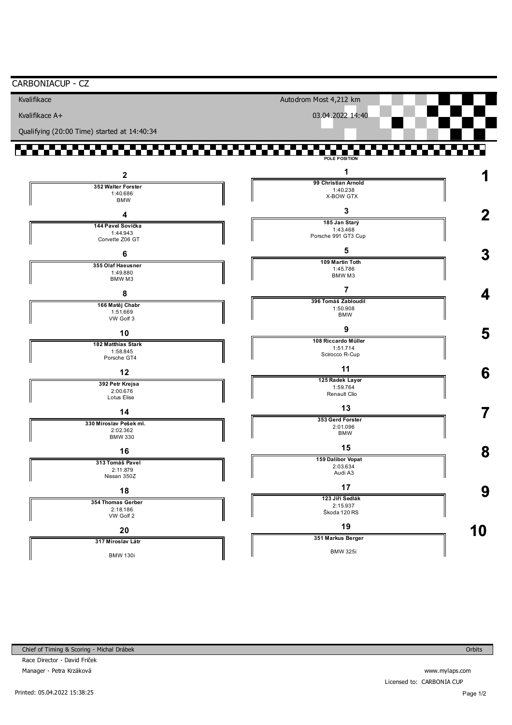| CARBONIACUP - CZ<br>Kvalifikace             | Autodrom Most 4,212 km          |             |
|---------------------------------------------|---------------------------------|-------------|
|                                             |                                 |             |
| Kvalifikace A+                              | 03.04.2022 14:40                |             |
| Qualifying (20:00 Time) started at 14:40:34 |                                 |             |
| .                                           | POLE POSITION                   |             |
| $\mathbf{2}$                                |                                 |             |
| 352 Walter Forster                          | 99 Christian Arnold<br>1:40.238 |             |
| 1:40.686<br><b>BMW</b>                      | X-BOW GTX                       |             |
| Δ                                           | 3                               | $\mathbf 2$ |
| 144 Pavel Sovička                           | 185 Jan Starý                   |             |
| 1:44.943<br>Corvette Z06 GT                 | 1:43.468<br>Porsche 991 GT3 Cup |             |
|                                             | 5                               |             |
| 6                                           | 109 Martin Toth                 | 3           |
| 355 Olaf Haeusner<br>1:49.880               | 1:45.786<br>BMW <sub>M3</sub>   |             |
| BMW <sub>M3</sub>                           | 7                               |             |
| 8                                           | 396 Tomáš Zabloudil             | 4           |
| 166 Matěj Chabr<br>1:51.669                 | 1:50.908                        |             |
| VW Golf 3                                   | <b>BMW</b>                      |             |
| 10                                          | 9                               | 5           |
| 182 Matthias Stark                          | 108 Riccardo Müller             |             |
| 1:58.845<br>Porsche GT4                     | 1:51.714<br>Scirocco R-Cup      |             |
|                                             | 11                              |             |
| 12                                          | 125 Radek Layer                 | 6           |
| 392 Petr Krejsa<br>2:00.676                 | 1:59.764<br>Renault Clio        |             |
| Lotus Elise                                 |                                 |             |
| 14                                          | 13                              |             |
| 330 Miroslav Pešek ml.                      | 353 Gerd Forster<br>2:01.096    |             |
| 2:02.362<br><b>BMW 330</b>                  | <b>BMW</b>                      |             |
| 16                                          | 15                              | 8           |
| 313 Tomáš Pavel                             | 159 Dalibor Vopat               |             |
| 2:11.879                                    | 2:03.634<br>Audi A3             |             |
| Nissan 350Z                                 | 17                              |             |
| 18                                          | 123 Jiří Sedlák                 | 9           |
| 354 Thomas Gerber<br>2:18.186               | 2:15.937                        |             |
| VW Golf 2                                   | Škoda 120 RS                    |             |
| 20                                          | 19                              | $\bf{0}$    |
| 317 Miroslav Látr                           | 351 Markus Berger               |             |
|                                             | <b>BMW 325i</b>                 |             |
| <b>BMW 130i</b>                             |                                 |             |

Chief of Timing & Scoring - Michal Drábek

Race Director - David Friček Manager - Petra Krzáková

www.mylaps.com Licensed to: CARBONIA CUP

Orbits